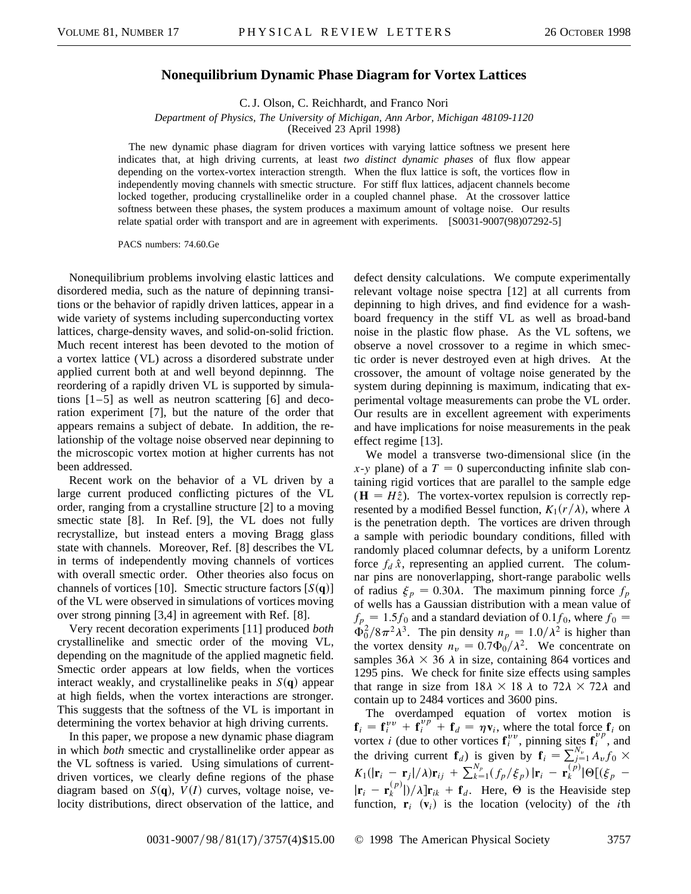## **Nonequilibrium Dynamic Phase Diagram for Vortex Lattices**

C. J. Olson, C. Reichhardt, and Franco Nori

*Department of Physics, The University of Michigan, Ann Arbor, Michigan 48109-1120*

(Received 23 April 1998)

The new dynamic phase diagram for driven vortices with varying lattice softness we present here indicates that, at high driving currents, at least *two distinct dynamic phases* of flux flow appear depending on the vortex-vortex interaction strength. When the flux lattice is soft, the vortices flow in independently moving channels with smectic structure. For stiff flux lattices, adjacent channels become locked together, producing crystallinelike order in a coupled channel phase. At the crossover lattice softness between these phases, the system produces a maximum amount of voltage noise. Our results relate spatial order with transport and are in agreement with experiments. [S0031-9007(98)07292-5]

PACS numbers: 74.60.Ge

Nonequilibrium problems involving elastic lattices and disordered media, such as the nature of depinning transitions or the behavior of rapidly driven lattices, appear in a wide variety of systems including superconducting vortex lattices, charge-density waves, and solid-on-solid friction. Much recent interest has been devoted to the motion of a vortex lattice (VL) across a disordered substrate under applied current both at and well beyond depinnng. The reordering of a rapidly driven VL is supported by simulations [1–5] as well as neutron scattering [6] and decoration experiment [7], but the nature of the order that appears remains a subject of debate. In addition, the relationship of the voltage noise observed near depinning to the microscopic vortex motion at higher currents has not been addressed.

Recent work on the behavior of a VL driven by a large current produced conflicting pictures of the VL order, ranging from a crystalline structure [2] to a moving smectic state [8]. In Ref. [9], the VL does not fully recrystallize, but instead enters a moving Bragg glass state with channels. Moreover, Ref. [8] describes the VL in terms of independently moving channels of vortices with overall smectic order. Other theories also focus on channels of vortices [10]. Smectic structure factors  $[S(q)]$ of the VL were observed in simulations of vortices moving over strong pinning [3,4] in agreement with Ref. [8].

Very recent decoration experiments [11] produced *both* crystallinelike and smectic order of the moving VL, depending on the magnitude of the applied magnetic field. Smectic order appears at low fields, when the vortices interact weakly, and crystallinelike peaks in  $S(\mathbf{q})$  appear at high fields, when the vortex interactions are stronger. This suggests that the softness of the VL is important in determining the vortex behavior at high driving currents.

In this paper, we propose a new dynamic phase diagram in which *both* smectic and crystallinelike order appear as the VL softness is varied. Using simulations of currentdriven vortices, we clearly define regions of the phase diagram based on  $S(q)$ ,  $V(I)$  curves, voltage noise, velocity distributions, direct observation of the lattice, and

defect density calculations. We compute experimentally relevant voltage noise spectra [12] at all currents from depinning to high drives, and find evidence for a washboard frequency in the stiff VL as well as broad-band noise in the plastic flow phase. As the VL softens, we observe a novel crossover to a regime in which smectic order is never destroyed even at high drives. At the crossover, the amount of voltage noise generated by the system during depinning is maximum, indicating that experimental voltage measurements can probe the VL order. Our results are in excellent agreement with experiments and have implications for noise measurements in the peak effect regime [13].

We model a transverse two-dimensional slice (in the  $x$ -*y* plane) of a  $T = 0$  superconducting infinite slab containing rigid vortices that are parallel to the sample edge  $(\mathbf{H} = H\hat{z})$ . The vortex-vortex repulsion is correctly represented by a modified Bessel function,  $K_1(r/\lambda)$ , where  $\lambda$ is the penetration depth. The vortices are driven through a sample with periodic boundary conditions, filled with randomly placed columnar defects, by a uniform Lorentz force  $f_d \hat{x}$ , representing an applied current. The columnar pins are nonoverlapping, short-range parabolic wells of radius  $\xi_p = 0.30\lambda$ . The maximum pinning force  $f_p$ of wells has a Gaussian distribution with a mean value of  $f_p = 1.5f_0$  and a standard deviation of 0.1 $f_0$ , where  $f_0 =$  $\dot{\Phi}_0^2/8\pi^2\lambda^3$ . The pin density  $n_p = 1.0/\lambda^2$  is higher than the vortex density  $n_v = 0.7\dot{\Phi_0}/\lambda^2$ . We concentrate on samples  $36\lambda \times 36\lambda$  in size, containing 864 vortices and 1295 pins. We check for finite size effects using samples that range in size from  $18\lambda \times 18\lambda$  to  $72\lambda \times 72\lambda$  and contain up to 2484 vortices and 3600 pins.

The overdamped equation of vortex motion is  $f_i = f_i^{vv} + f_i^{vp} + f_d = \eta v_i$ , where the total force  $f_i$  on vortex *i* (due to other vortices  $\mathbf{f}^{yv}_i$ , pinning sites  $\mathbf{f}^{yp}_i$ , and the driving current  $\mathbf{f}_d$ ) is given by  $\mathbf{f}_i = \sum_{j=1}^{N_y} A_v f_0 \times$  $K_1(|\mathbf{r}_i - \mathbf{r}_j|/\lambda)\mathbf{r}_{ij} + \sum_{k=1}^{N_p} (f_p/\xi_p) |\mathbf{r}_i - \mathbf{r}_k^{(p)}| \Theta[(\xi_p - \mathbf{r}_j)]$  $|\mathbf{r}_i - \mathbf{r}_k^{(p)}|/\lambda \, \mathbf{r}_{ik} + \mathbf{f}_d$ . Here,  $\Theta$  is the Heaviside step function,  $\mathbf{r}_i$  ( $\mathbf{v}_i$ ) is the location (velocity) of the *i*th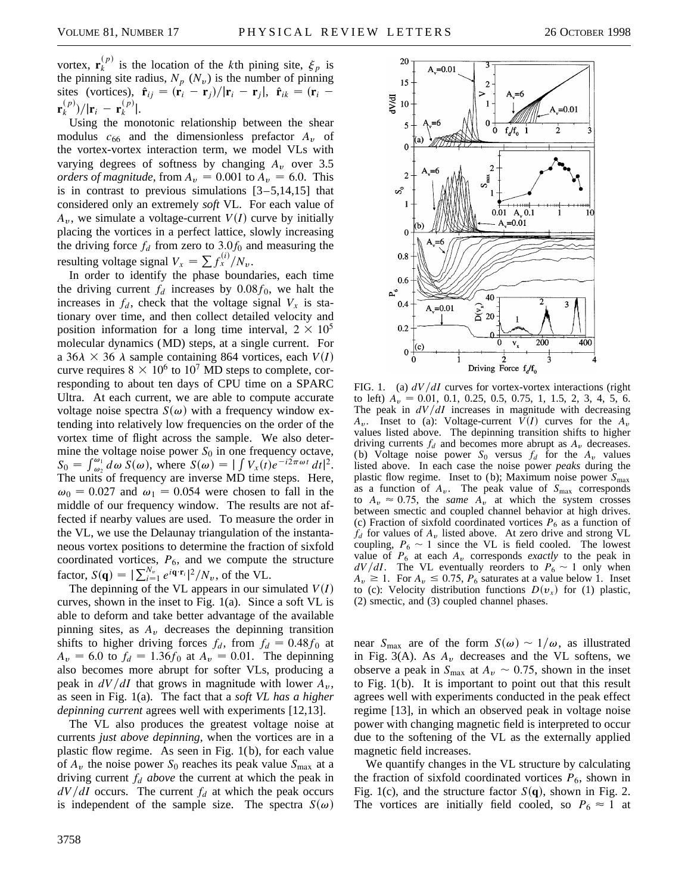vortex,  $\mathbf{r}_{k}^{(p)}$  is the location of the *k*th pining site,  $\xi_{p}$  is the pinning site radius,  $N_p$  ( $N_v$ ) is the number of pinning sites (vortices),  $\hat{\mathbf{r}}_{ij} = (\mathbf{r}_i - \mathbf{r}_j)/|\mathbf{r}_i - \mathbf{r}_j|$ ,  $\hat{\mathbf{r}}_{ik} = (\mathbf{r}_i \mathbf{r}_{k}^{(p)}$  $\big)$ / $|\mathbf{r}_{i} - \mathbf{r}_{k}^{(p)}|$ .

Using the monotonic relationship between the shear modulus  $c_{66}$  and the dimensionless prefactor  $A_v$  of the vortex-vortex interaction term, we model VLs with varying degrees of softness by changing  $A_v$  over 3.5 *orders of magnitude*, from  $A_v = 0.001$  to  $A_v = 6.0$ . This is in contrast to previous simulations  $[3-5,14,15]$  that considered only an extremely *soft* VL. For each value of  $A<sub>v</sub>$ , we simulate a voltage-current *V(I)* curve by initially placing the vortices in a perfect lattice, slowly increasing the driving force  $f_d$  from zero to 3.0 $f_0$  and measuring the resulting voltage signal  $V_x = \sum f_x^{(i)} / N_v$ .

In order to identify the phase boundaries, each time the driving current  $f_d$  increases by  $0.08f_0$ , we halt the increases in  $f_d$ , check that the voltage signal  $V_x$  is stationary over time, and then collect detailed velocity and position information for a long time interval,  $2 \times 10^5$ molecular dynamics (MD) steps, at a single current. For a  $36\lambda \times 36\lambda$  sample containing 864 vortices, each *V(I)* curve requires  $8 \times 10^6$  to  $10^7$  MD steps to complete, corresponding to about ten days of CPU time on a SPARC Ultra. At each current, we are able to compute accurate voltage noise spectra  $S(\omega)$  with a frequency window extending into relatively low frequencies on the order of the vortex time of flight across the sample. We also determine the voltage noise power *S*<sub>0</sub> in one frequency octave,<br>  $S_0 = \int_{\omega_2}^{\omega_1} d\omega S(\omega)$ , where  $S(\omega) = |\int V_x(t)e^{-i2\pi \omega t} dt|^2$ . The units of frequency are inverse MD time steps. Here,  $\omega_0 = 0.027$  and  $\omega_1 = 0.054$  were chosen to fall in the middle of our frequency window. The results are not affected if nearby values are used. To measure the order in the VL, we use the Delaunay triangulation of the instantaneous vortex positions to determine the fraction of sixfold coordinated vortices,  $P_6$ , and we compute the structure factor,  $S(\mathbf{q}) = |\sum_{i=1}^{N_v} e^{i\mathbf{q} \cdot \mathbf{r}_i}|^2 / N_v$ , of the VL.

The depinning of the VL appears in our simulated  $V(I)$ curves, shown in the inset to Fig. 1(a). Since a soft VL is able to deform and take better advantage of the available pinning sites, as  $A<sub>v</sub>$  decreases the depinning transition shifts to higher driving forces  $f_d$ , from  $f_d = 0.48 f_0$  at  $A_v = 6.0$  to  $f_d = 1.36f_0$  at  $A_v = 0.01$ . The depinning also becomes more abrupt for softer VLs, producing a peak in  $dV/dI$  that grows in magnitude with lower  $A_v$ , as seen in Fig. 1(a). The fact that a *soft VL has a higher depinning current* agrees well with experiments [12,13].

The VL also produces the greatest voltage noise at currents *just above depinning,* when the vortices are in a plastic flow regime. As seen in Fig. 1(b), for each value of  $A_y$  the noise power  $S_0$  reaches its peak value  $S_{\text{max}}$  at a driving current *fd above* the current at which the peak in  $dV/dI$  occurs. The current  $f<sub>d</sub>$  at which the peak occurs is independent of the sample size. The spectra  $S(\omega)$ 



FIG. 1. (a)  $dV/dI$  curves for vortex-vortex interactions (right to left)  $A_v = 0.01, 0.1, 0.25, 0.5, 0.75, 1, 1.5, 2, 3, 4, 5, 6.$ The peak in  $dV/dI$  increases in magnitude with decreasing  $A_v$ . Inset to (a): Voltage-current  $V(I)$  curves for the  $A_v$ values listed above. The depinning transition shifts to higher driving currents  $f_d$  and becomes more abrupt as  $A_v$  decreases. (b) Voltage noise power  $S_0$  versus  $f_d$  for the  $A_v$  values listed above. In each case the noise power *peaks* during the plastic flow regime. Inset to (b); Maximum noise power  $S_{\text{max}}$ as a function of  $A_v$ . The peak value of  $S_{\text{max}}$  corresponds to  $A_v \approx 0.75$ , the *same*  $A_v$  at which the system crosses between smectic and coupled channel behavior at high drives. (c) Fraction of sixfold coordinated vortices  $P_6$  as a function of  $f_d$  for values of  $A_v$  listed above. At zero drive and strong VL coupling,  $P_6 \sim 1$  since the VL is field cooled. The lowest value of  $P_6$  at each  $A_v$  corresponds *exactly* to the peak in  $dV/dI$ . The VL eventually reorders to  $P_6 \sim 1$  only when  $A_v \geq 1$ . For  $A_v \leq 0.75$ ,  $P_6$  saturates at a value below 1. Inset to (c): Velocity distribution functions  $D(v_x)$  for (1) plastic, (2) smectic, and (3) coupled channel phases.

near  $S_{\text{max}}$  are of the form  $S(\omega) \sim 1/\omega$ , as illustrated in Fig. 3(A). As  $A_v$  decreases and the VL softens, we observe a peak in  $S_{\text{max}}$  at  $A_v \sim 0.75$ , shown in the inset to Fig. 1(b). It is important to point out that this result agrees well with experiments conducted in the peak effect regime [13], in which an observed peak in voltage noise power with changing magnetic field is interpreted to occur due to the softening of the VL as the externally applied magnetic field increases.

We quantify changes in the VL structure by calculating the fraction of sixfold coordinated vortices  $P_6$ , shown in Fig. 1(c), and the structure factor  $S(\mathbf{q})$ , shown in Fig. 2. The vortices are initially field cooled, so  $P_6 \approx 1$  at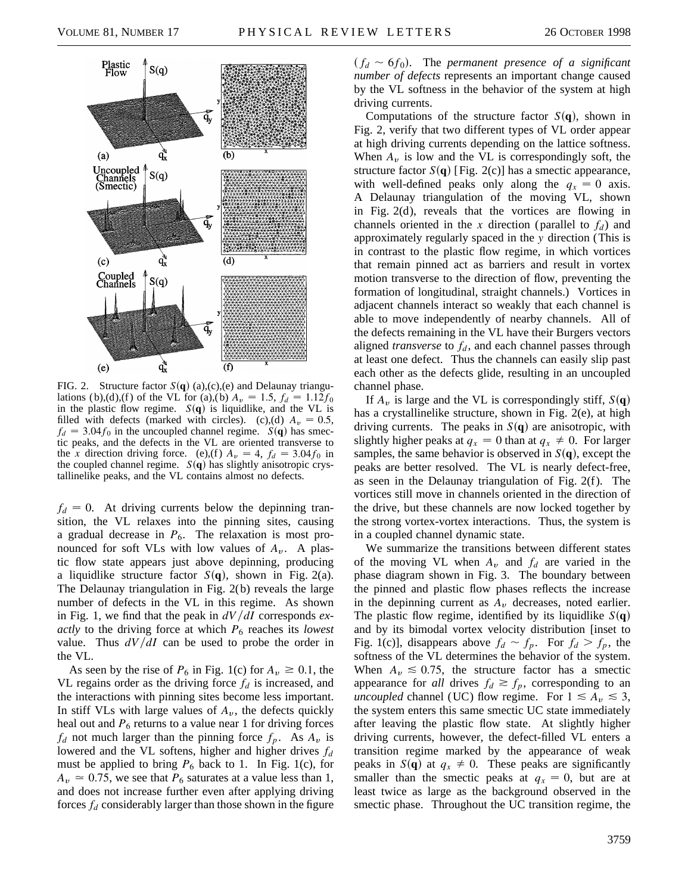

FIG. 2. Structure factor  $S(q)$  (a),(c),(e) and Delaunay triangulations (b),(d),(f) of the VL for (a),(b)  $A_v = 1.5$ ,  $f_d = 1.12 f_0$ in the plastic flow regime.  $S(q)$  is liquidlike, and the VL is filled with defects (marked with circles). (c),(d)  $A_v = 0.5$ ,  $f_d = 3.04 f_0$  in the uncoupled channel regime. *S*(q) has smectic peaks, and the defects in the VL are oriented transverse to the *x* direction driving force. (e),(f)  $A_v = 4$ ,  $f_d = 3.04 f_0$  in the coupled channel regime.  $S(q)$  has slightly anisotropic crystallinelike peaks, and the VL contains almost no defects.

 $f_d = 0$ . At driving currents below the depinning transition, the VL relaxes into the pinning sites, causing a gradual decrease in  $P_6$ . The relaxation is most pronounced for soft VLs with low values of  $A_y$ . A plastic flow state appears just above depinning, producing a liquidlike structure factor  $S(\mathbf{q})$ , shown in Fig. 2(a). The Delaunay triangulation in Fig. 2(b) reveals the large number of defects in the VL in this regime. As shown in Fig. 1, we find that the peak in  $dV/dI$  corresponds  $ex$ *actly* to the driving force at which  $P_6$  reaches its *lowest* value. Thus  $dV/dI$  can be used to probe the order in the VL.

As seen by the rise of  $P_6$  in Fig. 1(c) for  $A_v \ge 0.1$ , the VL regains order as the driving force  $f_d$  is increased, and the interactions with pinning sites become less important. In stiff VLs with large values of  $A<sub>v</sub>$ , the defects quickly heal out and  $P_6$  returns to a value near 1 for driving forces  $f_d$  not much larger than the pinning force  $f_p$ . As  $A_v$  is lowered and the VL softens, higher and higher drives *fd* must be applied to bring  $P_6$  back to 1. In Fig. 1(c), for  $A_v \approx 0.75$ , we see that  $P_6$  saturates at a value less than 1, and does not increase further even after applying driving forces  $f_d$  considerably larger than those shown in the figure  $(f_d \sim 6f_0)$ . The *permanent presence of a significant number of defects* represents an important change caused by the VL softness in the behavior of the system at high driving currents.

Computations of the structure factor  $S(\mathbf{q})$ , shown in Fig. 2, verify that two different types of VL order appear at high driving currents depending on the lattice softness. When  $A_{\nu}$  is low and the VL is correspondingly soft, the structure factor  $S(\mathbf{q})$  [Fig. 2(c)] has a smectic appearance, with well-defined peaks only along the  $q_x = 0$  axis. A Delaunay triangulation of the moving VL, shown in Fig. 2(d), reveals that the vortices are flowing in channels oriented in the *x* direction (parallel to  $f_d$ ) and approximately regularly spaced in the *y* direction (This is in contrast to the plastic flow regime, in which vortices that remain pinned act as barriers and result in vortex motion transverse to the direction of flow, preventing the formation of longitudinal, straight channels.) Vortices in adjacent channels interact so weakly that each channel is able to move independently of nearby channels. All of the defects remaining in the VL have their Burgers vectors aligned *transverse* to  $f_d$ , and each channel passes through at least one defect. Thus the channels can easily slip past each other as the defects glide, resulting in an uncoupled channel phase.

If  $A_v$  is large and the VL is correspondingly stiff,  $S(\mathbf{q})$ has a crystallinelike structure, shown in Fig. 2(e), at high driving currents. The peaks in  $S(q)$  are anisotropic, with slightly higher peaks at  $q_x = 0$  than at  $q_x \neq 0$ . For larger samples, the same behavior is observed in  $S(\mathbf{q})$ , except the peaks are better resolved. The VL is nearly defect-free, as seen in the Delaunay triangulation of Fig. 2(f ). The vortices still move in channels oriented in the direction of the drive, but these channels are now locked together by the strong vortex-vortex interactions. Thus, the system is in a coupled channel dynamic state.

We summarize the transitions between different states of the moving VL when  $A_v$  and  $f_d$  are varied in the phase diagram shown in Fig. 3. The boundary between the pinned and plastic flow phases reflects the increase in the depinning current as  $A<sub>v</sub>$  decreases, noted earlier. The plastic flow regime, identified by its liquidlike  $S(\mathbf{q})$ and by its bimodal vortex velocity distribution [inset to Fig. 1(c)], disappears above  $f_d \sim f_p$ . For  $f_d > f_p$ , the softness of the VL determines the behavior of the system. When  $A_v \leq 0.75$ , the structure factor has a smectic appearance for *all* drives  $f_d \geq f_p$ , corresponding to an *uncoupled* channel (UC) flow regime. For  $1 \le A_v \le 3$ , the system enters this same smectic UC state immediately after leaving the plastic flow state. At slightly higher driving currents, however, the defect-filled VL enters a transition regime marked by the appearance of weak peaks in *S*(q) at  $q_x \neq 0$ . These peaks are significantly smaller than the smectic peaks at  $q_x = 0$ , but are at least twice as large as the background observed in the smectic phase. Throughout the UC transition regime, the